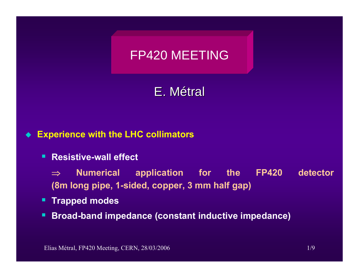# FP420 MEETING

E. Métral

#### $\blacklozenge$ **Experience with the LHC collimators**

**Resistive-wall effect** 

⇒ **Numerical application for the FP420 detector (8m long pipe, 1-sided, copper, 3 mm half gap)**

- **Trapped modes**
- п **Broad-band impedance (constant inductive impedance)**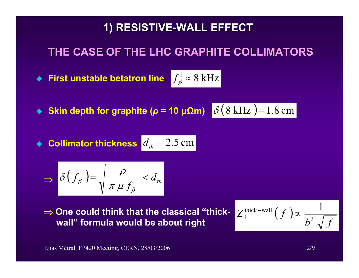### **1) RESISTIVE 1) RESISTIVE-WALL EFFECT WALL EFFECT**

### **THE CASE OF THE LHC GRAPHITE COLLIMATORS THE CASE OF THE LHC GRAPHITE COLLIMATORS**

 $\blacklozenge$  First unstable betatron line  $\int_{\beta}^{1} \approx 8 \text{ kHz}$ 

 $\blacklozenge$  Skin depth for graphite (*ρ* = 10 μΩm)  $\delta$  ( 8 kHz ) = 1.8 cm

 $\bullet$  Collimator thickness  $d_{th} = 2.5$  cm

$$
\Rightarrow \delta(f_{\beta}) = \sqrt{\frac{\rho}{\pi \mu f_{\beta}}} < d_{th}
$$

⇒ **One could think that the classical "thick-**One could think that the classical "thick-  $Z_\perp^{\rm thick-wall} \left( f\ \right)$   $\propto$   $\frac{1}{b^3\ \sqrt{f}}$ 

$$
Z_{\perp}^{\text{thick-wall}}(f) \propto \frac{1}{b^3 \sqrt{f}}
$$

Elias Métral, FP420 Meeting, CERN, 28/03/2006 2/9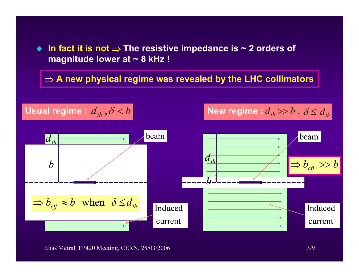**In fact it is not** <sup>⇒</sup> **The resistive impedance is ~ 2 orders of magnitude lower at ~ 8 kHz !**

⇒ **A new physical regime was revealed by the LHC collimators** 



Elias Métral, FP420 Meeting, CERN, 28/03/2006 3/9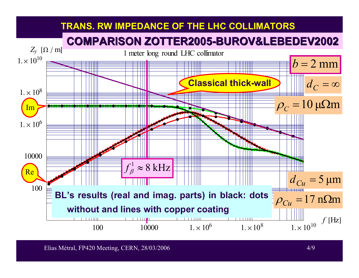

Elias Métral, FP420 Meeting, CERN, 28/03/2006 4/9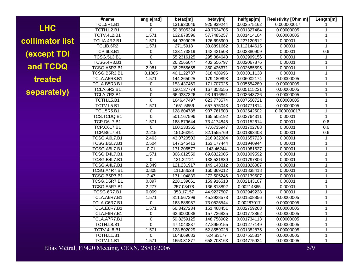**LHC collimator list (except TDI and TCDQ treated separately)**

| #name               | angle[rad]     | betax[m]   | betay[m]   | halfgap[m]  | <b>Resistivity [Ohm m]</b> | Length[m]      |
|---------------------|----------------|------------|------------|-------------|----------------------------|----------------|
| <b>TCL.5R1.B1</b>   | 0              | 131.930046 | 925.939244 | 0.002575162 | 0.000000017                | 1              |
| TCTH.L2.B1          | $\mathbf 0$    | 50.8905324 | 49.7634705 | 0.001327484 | 0.00000005                 | $\mathbf{1}$   |
| <b>TCTV.4L2.B1</b>  | 1.571          | 132.878596 | 57.7485257 | 0.001414104 | 0.00000005                 | $\overline{1}$ |
| TCLIA.4R2.B1        | 1.571          | 54.9399025 | 126.695909 | 0.227120612 | 0.00001                    | 1              |
| TCLIB.6R2           | 1.571          | 271.5918   | 30.8891662 | 0.112144615 | 0.00001                    | $\mathbf{1}$   |
| <b>TCP.6L3.B1</b>   | 0              | 133.173819 | 142.421503 | 0.003880909 | 0.00001                    | 0.6            |
| <b>TCSG.5L3.B1</b>  | 0              | 55.2316125 | 295.084643 | 0.002999156 | 0.00001                    | $\mathbf{1}$   |
| <b>TCSG.4R3.B1</b>  | 0              | 26.2566047 | 402.556797 | 0.002067876 | 0.00001                    | $\mathbf{1}$   |
| TCSG.A5R3.B1        | 2.981          | 36.2555658 | 350.426671 | 0.002685595 | 0.00001                    | $\mathbf{1}$   |
| TCSG.B5R3.B1        | 0.1885         | 46.1122737 | 318.428996 | 0.003011138 | 0.00001                    | $\mathbf{1}$   |
| TCLA.A5R3.B1        | 1.571          | 144.265025 | 179.180893 | 0.006002174 | 0.00000005                 | $\mathbf{1}$   |
| TCLA.B5R3.B1        | 0              | 153.437469 | 171.707025 | 0.005554289 | 0.00000005                 | $\overline{1}$ |
| TCLA.6R3.B1         | 0              | 130.137774 | 167.358555 | 0.005115221 | 0.00000005                 | $\mathbf{1}$   |
| <b>TCLA.7R3.B1</b>  | $\mathbf 0$    | 66.0337326 | 93.1616861 | 0.003643726 | 0.00000005                 | $\mathbf{1}$   |
| TCTH.L5.B1          | $\overline{0}$ | 1646.47497 | 623.773574 | 0.007550721 | 0.00000005                 | $\mathbf{1}$   |
| TCTV.L5.B1          | 1.571          | 1651.5656  | 657.575043 | 0.004771814 | 0.00000005                 | $\overline{1}$ |
| <b>TCL.5R5.B1</b>   | 0              | 128.604788 | 907.761503 | 0.002542502 | 0.000000017                | $\mathbf{1}$   |
| TCS.TCDQ.B1         | $\overline{0}$ | 501.167596 | 165.505192 | 0.003764311 | 0.00001                    | $\overline{1}$ |
| TCP.D6L7.B1         | 1.571          | 168.879644 | 73.4174845 | 0.001152614 | 0.00001                    | 0.6            |
| TCP.C6L7.B1         | 0              | 160.233365 | 77.6735947 | 0.001702788 | 0.00001                    | 0.6            |
| TCP.B6L7.B1         | 2.215          | 151.86291  | 82.1555769 | 0.001393408 | 0.00001                    | 0.6            |
| TCSG.A6L7.B1        | 2.463          | 43.0720503 | 216.932384 | 0.001657723 | 0.00001                    | $\mathbf{1}$   |
| <b>TCSG.B5L7.B1</b> | 2.504          | 147.345413 | 163.177444 | 0.001940944 | 0.00001                    | $\mathbf{1}$   |
| TCSG.A5L7.B1        | 0.71           | 171.206577 | 143.46244  | 0.001981527 | 0.00001                    | $\mathbf{1}$   |
| TCSG.D4L7.B1        | 1.571          | 306.612559 | 69.6322005 | 0.001309592 | 0.00001                    | 1              |
| TCSG.B4L7.B1        | $\Omega$       | 131.22721  | 138.531839 | 0.001797806 | 0.00001                    | $\mathbf{1}$   |
| TCSG.A4L7.B1        | 2.349          | 121.231917 | 149.143312 | 0.001826087 | 0.00001                    | $\mathbf{1}$   |
| TCSG.A4R7.B1        | 0.808          | 111.88628  | 160.369012 | 0.001838418 | 0.00001                    | $\overline{1}$ |
| TCSG.B5R7.B1        | 2.47           | 131.104839 | 272.505246 | 0.002139507 | 0.00001                    | 1              |
| TCSG.D5R7.B1        | 0.897          | 228.139661 | 159.916518 | 0.002143107 | 0.00001                    | 1              |
| TCSG.E5R7.B1        | 2.277          | 257.03478  | 136.813892 | 0.00214865  | 0.00001                    | $\mathbf{1}$   |
| <b>TCSG.6R7.B1</b>  | 0.009          | 353.17157  | 44.9237507 | 0.002949228 | 0.00001                    | 1              |
| TCLA.A6R7.B1        | 1.571          | 311.567299 | 45.2928573 | 0.001508856 | 0.00000005                 | 1              |
| TCLA.C6R7.B1        | $\mathsf 0$    | 163.888957 | 73.0525544 | 0.00287017  | 0.00000005                 | 1              |
| TCLA.E6R7.B1        | 1.571          | 66.3427234 | 151.468451 | 0.002759268 | 0.00000005                 | $\overline{1}$ |
| TCLA.F6R7.B1        | 0              | 62.6000088 | 157.726835 | 0.001773862 | 0.00000005                 | $\mathbf{1}$   |
| TCLA.A7R7.B1        | $\overline{0}$ | 59.8259125 | 148.758902 | 0.001734113 | 0.00000005                 | $\mathbf{1}$   |
| TCTH.L8.B1          | $\overline{0}$ | 47.1043837 | 47.8950155 | 0.001277149 | 0.00000005                 | $\mathbf{1}$   |
| <b>TCTV.4L8.B1</b>  | 1.571          | 128.802029 | 52.8559028 | 0.001352875 | 0.00000005                 | $\overline{1}$ |
| TCTH.L1.B1          | $\Omega$       | 1648.69683 | 624.83177  | 0.007555814 | 0.00000005                 | $\overline{1}$ |
| TCTV.L1.B1          | 1.571          | 1653.81877 | 658.708163 | 0.004775924 | 0.00000005                 | $\mathbf{1}$   |

Elias Métral, FP420 Meeting, CERN, 28/03/2006 5/9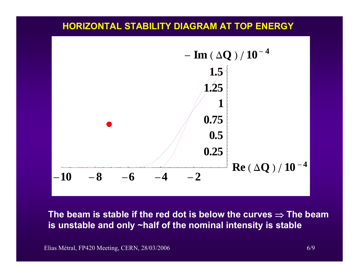#### **HORIZONTAL STABILITY DIAGRAM AT TOP ENERGY**



**The beam is stable if the red dot is below the curves** ⇒ **The beam is unstable and only ~half of the nominal intensity is stable**

Elias Métral, FP420 Meeting, CERN, 28/03/2006 6/9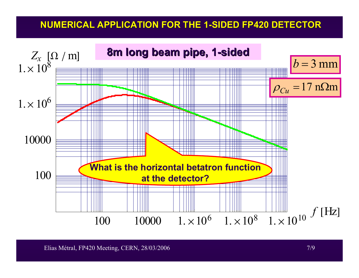### **NUMERICAL APPLICATION FOR THE 1 NUMERICAL APPLICATION FOR THE 1-SIDED FP420 DETECTOR SIDED FP420 DETECTOR**



Elias Métral, FP420 Meeting, CERN, 28/03/2006 7/9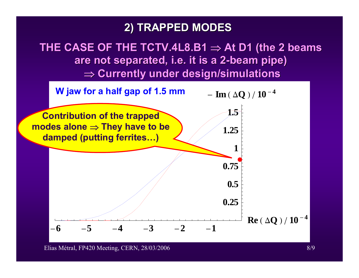### **2) TRAPPED MODES 2) TRAPPED MODES**

THE CASE OF THE TCTV.4L8.B1  $\Rightarrow$  At D1 (the 2 beams **are not separated, i.e. it is a 2-beam pipe)** ⇒ **Currently under design/simulations Currently under design/simulations**



Elias Métral, FP420 Meeting, CERN, 28/03/2006 8/9